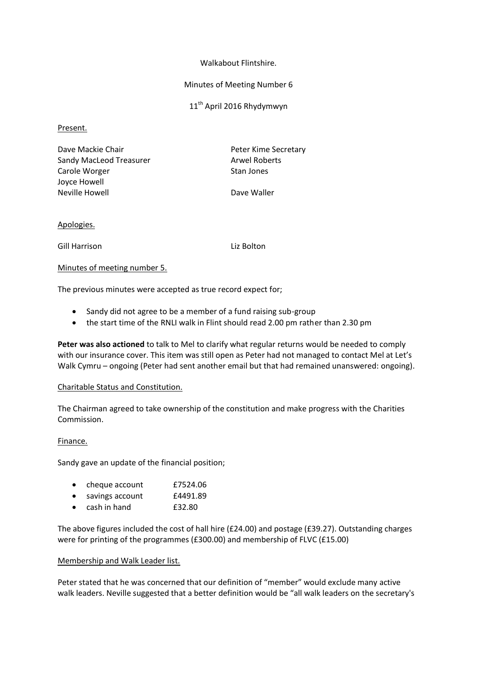### Walkabout Flintshire.

### Minutes of Meeting Number 6

11<sup>th</sup> April 2016 Rhydymwyn

## Present.

| Dave Mackie Chair       | Peter Kime Se        |
|-------------------------|----------------------|
| Sandy MacLeod Treasurer | <b>Arwel Roberts</b> |
| Carole Worger           | Stan Jones           |
| Joyce Howell            |                      |
| Neville Howell          | Dave Waller          |

Gime Secretary

## Apologies.

Gill Harrison Liz Bolton

## Minutes of meeting number 5.

The previous minutes were accepted as true record expect for;

- Sandy did not agree to be a member of a fund raising sub-group
- the start time of the RNLI walk in Flint should read 2.00 pm rather than 2.30 pm

**Peter was also actioned** to talk to Mel to clarify what regular returns would be needed to comply with our insurance cover. This item was still open as Peter had not managed to contact Mel at Let's Walk Cymru – ongoing (Peter had sent another email but that had remained unanswered: ongoing).

## Charitable Status and Constitution.

The Chairman agreed to take ownership of the constitution and make progress with the Charities Commission.

## Finance.

Sandy gave an update of the financial position;

|  | cheque account | £7524.06 |
|--|----------------|----------|
|--|----------------|----------|

- savings account £4491.89
- cash in hand £32.80

The above figures included the cost of hall hire (£24.00) and postage (£39.27). Outstanding charges were for printing of the programmes (£300.00) and membership of FLVC (£15.00)

#### Membership and Walk Leader list.

Peter stated that he was concerned that our definition of "member" would exclude many active walk leaders. Neville suggested that a better definition would be "all walk leaders on the secretary's